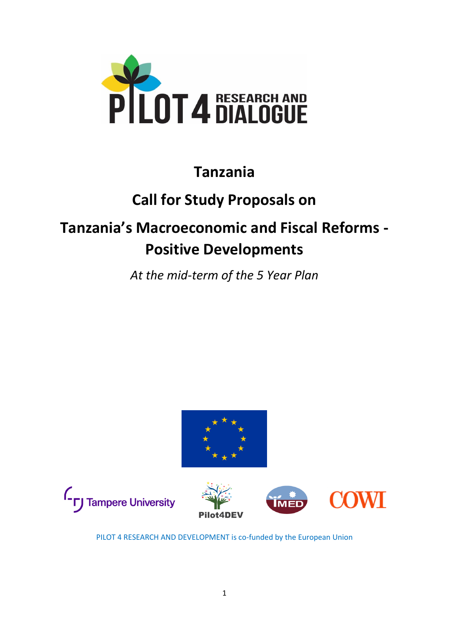

### **Tanzania**

## **Call for Study Proposals on**

# **Tanzania's Macroeconomic and Fiscal Reforms - Positive Developments**

*At the mid-term of the 5 Year Plan*







PILOT 4 RESEARCH AND DEVELOPMENT is co-funded by the European Union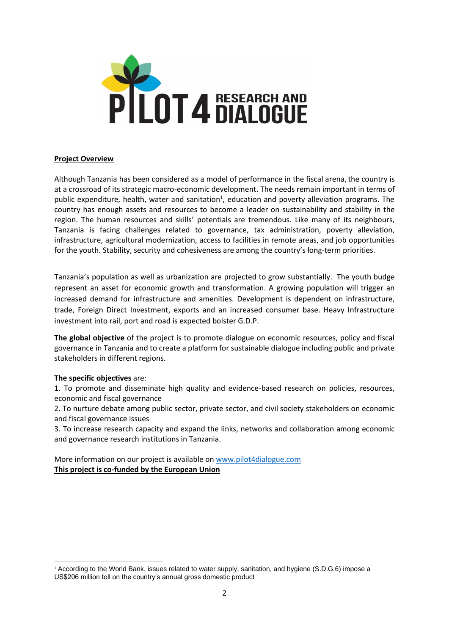

#### **Project Overview**

Although Tanzania has been considered as a model of performance in the fiscal arena, the country is at a crossroad of its strategic macro-economic development. The needs remain important in terms of public expenditure, health, water and sanitation<sup>1</sup>, education and poverty alleviation programs. The country has enough assets and resources to become a leader on sustainability and stability in the region. The human resources and skills' potentials are tremendous. Like many of its neighbours, Tanzania is facing challenges related to governance, tax administration, poverty alleviation, infrastructure, agricultural modernization, access to facilities in remote areas, and job opportunities for the youth. Stability, security and cohesiveness are among the country's long-term priorities.

Tanzania's population as well as urbanization are projected to grow substantially. The youth budge represent an asset for economic growth and transformation. A growing population will trigger an increased demand for infrastructure and amenities. Development is dependent on infrastructure, trade, Foreign Direct Investment, exports and an increased consumer base. Heavy Infrastructure investment into rail, port and road is expected bolster G.D.P.

**The global objective** of the project is to promote dialogue on economic resources, policy and fiscal governance in Tanzania and to create a platform for sustainable dialogue including public and private stakeholders in different regions.

#### **The specific objectives** are:

1. To promote and disseminate high quality and evidence-based research on policies, resources, economic and fiscal governance

2. To nurture debate among public sector, private sector, and civil society stakeholders on economic and fiscal governance issues

3. To increase research capacity and expand the links, networks and collaboration among economic and governance research institutions in Tanzania.

More information on our project is available on [www.pilot4dialogue.com](http://www.pilot4dialogue.com/) **This project is co-funded by the European Union**

<sup>1</sup> According to the World Bank, issues related to water supply, sanitation, and hygiene (S.D.G.6) impose a US\$206 million toll on the country's annual gross domestic product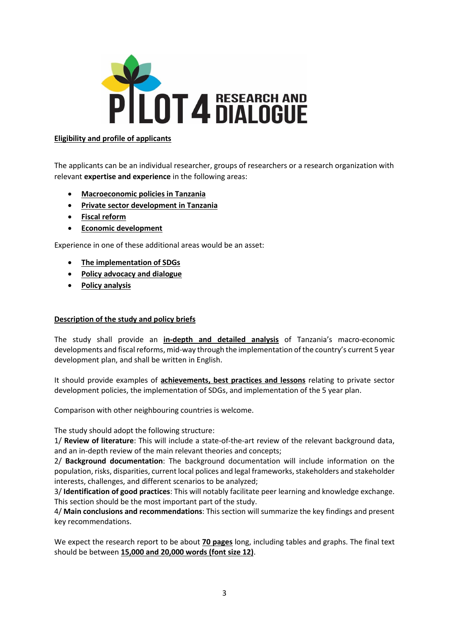

#### **Eligibility and profile of applicants**

The applicants can be an individual researcher, groups of researchers or a research organization with relevant **expertise and experience** in the following areas:

- **Macroeconomic policies in Tanzania**
- **Private sector development in Tanzania**
- **Fiscal reform**
- **Economic development**

Experience in one of these additional areas would be an asset:

- **The implementation of SDGs**
- **Policy advocacy and dialogue**
- **Policy analysis**

#### **Description of the study and policy briefs**

The study shall provide an **in-depth and detailed analysis** of Tanzania's macro-economic developments and fiscal reforms, mid-way through the implementation of the country's current 5 year development plan, and shall be written in English.

It should provide examples of **achievements, best practices and lessons** relating to private sector development policies, the implementation of SDGs, and implementation of the 5 year plan.

Comparison with other neighbouring countries is welcome.

The study should adopt the following structure:

1/ **Review of literature**: This will include a state-of-the-art review of the relevant background data, and an in-depth review of the main relevant theories and concepts;

2/ **Background documentation**: The background documentation will include information on the population, risks, disparities, current local polices and legal frameworks, stakeholders and stakeholder interests, challenges, and different scenarios to be analyzed;

3/ **Identification of good practices**: This will notably facilitate peer learning and knowledge exchange. This section should be the most important part of the study.

4/ **Main conclusions and recommendations**: This section will summarize the key findings and present key recommendations.

We expect the research report to be about **70 pages** long, including tables and graphs. The final text should be between **15,000 and 20,000 words (font size 12)**.